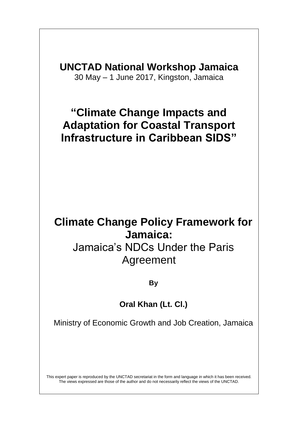**UNCTAD National Workshop Jamaica** 30 May – 1 June 2017, Kingston, Jamaica

### **"Climate Change Impacts and Adaptation for Coastal Transport Infrastructure in Caribbean SIDS"**

## **Climate Change Policy Framework for Jamaica:**

## Jamaica's NDCs Under the Paris Agreement

#### **By**

#### **Oral Khan (Lt. Cl.)**

Ministry of Economic Growth and Job Creation, Jamaica

This expert paper is reproduced by the UNCTAD secretariat in the form and language in which it has been received. The views expressed are those of the author and do not necessarily reflect the views of the UNCTAD.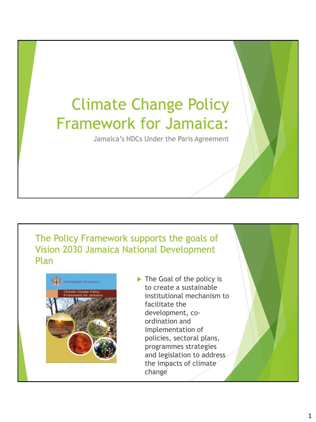# Climate Change Policy Framework for Jamaica:

Jamaica's NDCs Under the Paris Agreement

#### The Policy Framework supports the goals of Vision 2030 Jamaica National Development Plan



The Goal of the policy is to create a sustainable institutional mechanism to facilitate the development, coordination and implementation of policies, sectoral plans, programmes strategies and legislation to address the impacts of climate change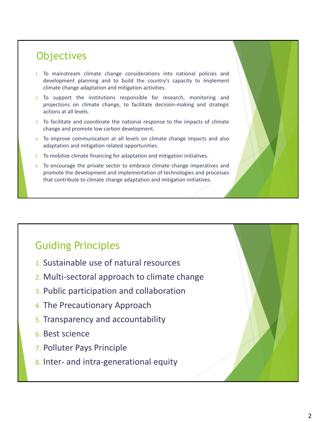#### **Objectives**

- 1. To mainstream climate change considerations into national policies and development planning and to build the country's capacity to implement climate change adaptation and mitigation activities.
- 2. To support the institutions responsible for research, monitoring and projections on climate change, to facilitate decision-making and strategic actions at all levels.
- 3. To facilitate and coordinate the national response to the impacts of climate change and promote low carbon development.
- 4. To improve communication at all levels on climate change impacts and also adaptation and mitigation related opportunities.
- 5. To mobilize climate financing for adaptation and mitigation initiatives.
- 6. To encourage the private sector to embrace climate change imperatives and promote the development and implementation of technologies and processes that contribute to climate change adaptation and mitigation initiatives.

#### Guiding Principles

- 1. Sustainable use of natural resources
- 2. Multi-sectoral approach to climate change
- 3. Public participation and collaboration
- 4. The Precautionary Approach
- 5. Transparency and accountability
- 6. Best science
- 7. Polluter Pays Principle
- 8. Inter- and intra-generational equity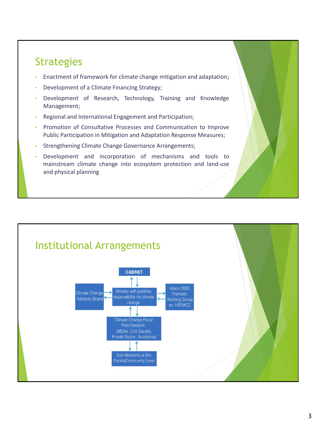#### **Strategies**

- Enactment of framework for climate change mitigation and adaptation;
- Development of a Climate Financing Strategy;
- Development of Research, Technology, Training and Knowledge Management;
- Regional and International Engagement and Participation;
- Promotion of Consultative Processes and Communication to Improve Public Participation in Mitigation and Adaptation Response Measures;
- Strengthening Climate Change Governance Arrangements;
- Development and incorporation of mechanisms and tools to mainstream climate change into ecosystem protection and land-use and physical planning

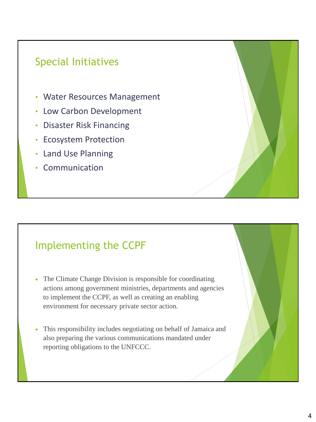### Special Initiatives

- Water Resources Management
- Low Carbon Development
- Disaster Risk Financing
- Ecosystem Protection
- Land Use Planning
- Communication

#### Implementing the CCPF

- The Climate Change Division is responsible for coordinating actions among government ministries, departments and agencies to implement the CCPF, as well as creating an enabling environment for necessary private sector action.
- This responsibility includes negotiating on behalf of Jamaica and also preparing the various communications mandated under reporting obligations to the UNFCCC.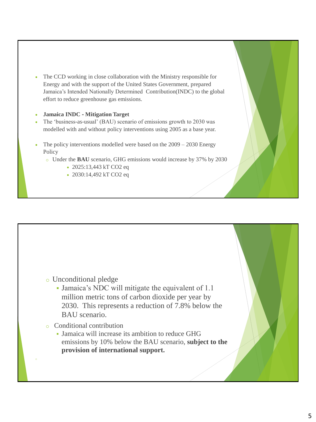• The CCD working in close collaboration with the Ministry responsible for Energy and with the support of the United States Government, prepared Jamaica's Intended Nationally Determined Contribution(INDC) to the global effort to reduce greenhouse gas emissions.

#### • **Jamaica INDC** ‐ **Mitigation Target**

- The 'business-as-usual' (BAU) scenario of emissions growth to 2030 was modelled with and without policy interventions using 2005 as a base year.
- The policy interventions modelled were based on the  $2009 2030$  Energy Policy
	- o Under the **BAU** scenario, GHG emissions would increase by 37% by 2030
		- 2025:13,443 kT CO2 eq
		- 2030:14,492 kT CO2 eq



- Jamaica's NDC will mitigate the equivalent of 1.1 million metric tons of carbon dioxide per year by 2030. This represents a reduction of 7.8% below the BAU scenario.
- o Conditional contribution
	- Jamaica will increase its ambition to reduce GHG emissions by 10% below the BAU scenario, **subject to the provision of international support.**